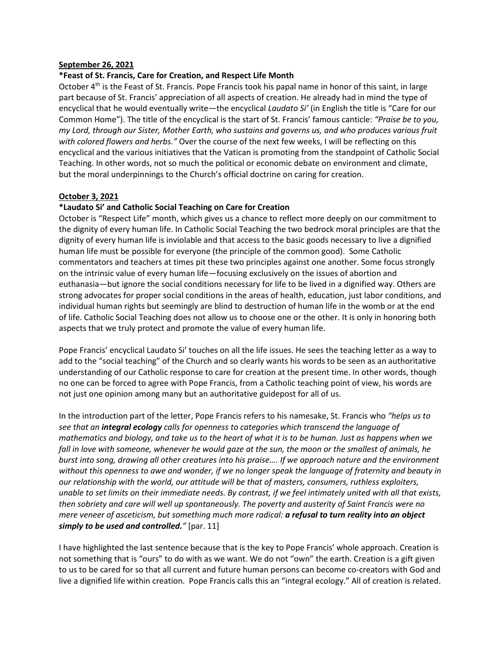## **September 26, 2021**

## **\*Feast of St. Francis, Care for Creation, and Respect Life Month**

October  $4<sup>th</sup>$  is the Feast of St. Francis. Pope Francis took his papal name in honor of this saint, in large part because of St. Francis' appreciation of all aspects of creation. He already had in mind the type of encyclical that he would eventually write—the encyclical *Laudato Si'* (in English the title is "Care for our Common Home"). The title of the encyclical is the start of St. Francis' famous canticle: *"Praise be to you, my Lord, through our Sister, Mother Earth, who sustains and governs us, and who produces various fruit with colored flowers and herbs."* Over the course of the next few weeks, I will be reflecting on this encyclical and the various initiatives that the Vatican is promoting from the standpoint of Catholic Social Teaching. In other words, not so much the political or economic debate on environment and climate, but the moral underpinnings to the Church's official doctrine on caring for creation.

## **October 3, 2021**

# **\*Laudato Si' and Catholic Social Teaching on Care for Creation**

October is "Respect Life" month, which gives us a chance to reflect more deeply on our commitment to the dignity of every human life. In Catholic Social Teaching the two bedrock moral principles are that the dignity of every human life is inviolable and that access to the basic goods necessary to live a dignified human life must be possible for everyone (the principle of the common good). Some Catholic commentators and teachers at times pit these two principles against one another. Some focus strongly on the intrinsic value of every human life—focusing exclusively on the issues of abortion and euthanasia—but ignore the social conditions necessary for life to be lived in a dignified way. Others are strong advocates for proper social conditions in the areas of health, education, just labor conditions, and individual human rights but seemingly are blind to destruction of human life in the womb or at the end of life. Catholic Social Teaching does not allow us to choose one or the other. It is only in honoring both aspects that we truly protect and promote the value of every human life.

Pope Francis' encyclical Laudato Si' touches on all the life issues. He sees the teaching letter as a way to add to the "social teaching" of the Church and so clearly wants his words to be seen as an authoritative understanding of our Catholic response to care for creation at the present time. In other words, though no one can be forced to agree with Pope Francis, from a Catholic teaching point of view, his words are not just one opinion among many but an authoritative guidepost for all of us.

In the introduction part of the letter, Pope Francis refers to his namesake, St. Francis who *"helps us to see that an integral ecology calls for openness to categories which transcend the language of mathematics and biology, and take us to the heart of what it is to be human. Just as happens when we fall in love with someone, whenever he would gaze at the sun, the moon or the smallest of animals, he burst into song, drawing all other creatures into his praise…. If we approach nature and the environment without this openness to awe and wonder, if we no longer speak the language of fraternity and beauty in our relationship with the world, our attitude will be that of masters, consumers, ruthless exploiters, unable to set limits on their immediate needs. By contrast, if we feel intimately united with all that exists, then sobriety and care will well up spontaneously. The poverty and austerity of Saint Francis were no mere veneer of asceticism, but something much more radical: a refusal to turn reality into an object simply to be used and controlled."* [par. 11]

I have highlighted the last sentence because that is the key to Pope Francis' whole approach. Creation is not something that is "ours" to do with as we want. We do not "own" the earth. Creation is a gift given to us to be cared for so that all current and future human persons can become co-creators with God and live a dignified life within creation. Pope Francis calls this an "integral ecology." All of creation is related.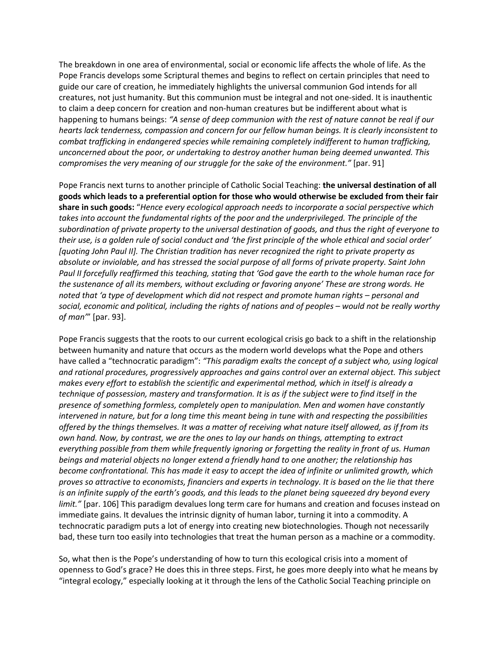The breakdown in one area of environmental, social or economic life affects the whole of life. As the Pope Francis develops some Scriptural themes and begins to reflect on certain principles that need to guide our care of creation, he immediately highlights the universal communion God intends for all creatures, not just humanity. But this communion must be integral and not one-sided. It is inauthentic to claim a deep concern for creation and non-human creatures but be indifferent about what is happening to humans beings: *"A sense of deep communion with the rest of nature cannot be real if our hearts lack tenderness, compassion and concern for our fellow human beings. It is clearly inconsistent to combat trafficking in endangered species while remaining completely indifferent to human trafficking, unconcerned about the poor, or undertaking to destroy another human being deemed unwanted. This compromises the very meaning of our struggle for the sake of the environment."* [par. 91]

Pope Francis next turns to another principle of Catholic Social Teaching: **the universal destination of all goods which leads to a preferential option for those who would otherwise be excluded from their fair share in such goods:** "*Hence every ecological approach needs to incorporate a social perspective which takes into account the fundamental rights of the poor and the underprivileged. The principle of the subordination of private property to the universal destination of goods, and thus the right of everyone to their use, is a golden rule of social conduct and 'the first principle of the whole ethical and social order' [quoting John Paul II]. The Christian tradition has never recognized the right to private property as absolute or inviolable, and has stressed the social purpose of all forms of private property. Saint John Paul II forcefully reaffirmed this teaching, stating that 'God gave the earth to the whole human race for the sustenance of all its members, without excluding or favoring anyone' These are strong words. He noted that 'a type of development which did not respect and promote human rights – personal and social, economic and political, including the rights of nations and of peoples – would not be really worthy of man'*" [par. 93].

Pope Francis suggests that the roots to our current ecological crisis go back to a shift in the relationship between humanity and nature that occurs as the modern world develops what the Pope and others have called a "technocratic paradigm": *"This paradigm exalts the concept of a subject who, using logical and rational procedures, progressively approaches and gains control over an external object. This subject makes every effort to establish the scientific and experimental method, which in itself is already a technique of possession, mastery and transformation. It is as if the subject were to find itself in the presence of something formless, completely open to manipulation. Men and women have constantly intervened in nature, but for a long time this meant being in tune with and respecting the possibilities offered by the things themselves. It was a matter of receiving what nature itself allowed, as if from its own hand. Now, by contrast, we are the ones to lay our hands on things, attempting to extract everything possible from them while frequently ignoring or forgetting the reality in front of us. Human beings and material objects no longer extend a friendly hand to one another; the relationship has become confrontational. This has made it easy to accept the idea of infinite or unlimited growth, which proves so attractive to economists, financiers and experts in technology. It is based on the lie that there is an infinite supply of the earth's goods, and this leads to the planet being squeezed dry beyond every limit."* [par. 106] This paradigm devalues long term care for humans and creation and focuses instead on immediate gains. It devalues the intrinsic dignity of human labor, turning it into a commodity. A technocratic paradigm puts a lot of energy into creating new biotechnologies. Though not necessarily bad, these turn too easily into technologies that treat the human person as a machine or a commodity.

So, what then is the Pope's understanding of how to turn this ecological crisis into a moment of openness to God's grace? He does this in three steps. First, he goes more deeply into what he means by "integral ecology," especially looking at it through the lens of the Catholic Social Teaching principle on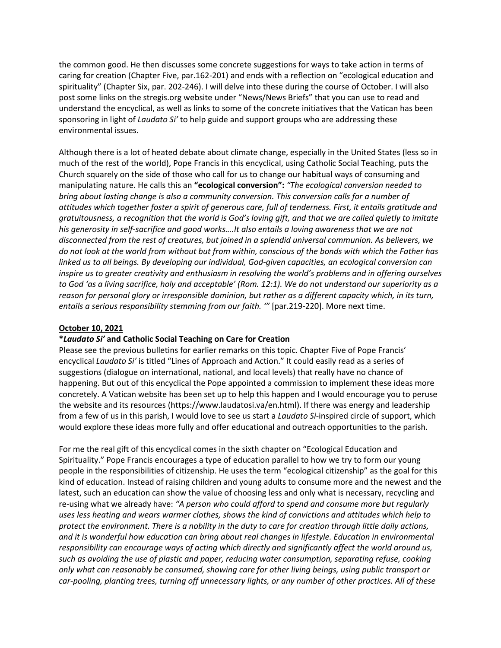the common good. He then discusses some concrete suggestions for ways to take action in terms of caring for creation (Chapter Five, par.162-201) and ends with a reflection on "ecological education and spirituality" (Chapter Six, par. 202-246). I will delve into these during the course of October. I will also post some links on the stregis.org website under "News/News Briefs" that you can use to read and understand the encyclical, as well as links to some of the concrete initiatives that the Vatican has been sponsoring in light of *Laudato Si'* to help guide and support groups who are addressing these environmental issues.

Although there is a lot of heated debate about climate change, especially in the United States (less so in much of the rest of the world), Pope Francis in this encyclical, using Catholic Social Teaching, puts the Church squarely on the side of those who call for us to change our habitual ways of consuming and manipulating nature. He calls this an **"ecological conversion":** *"The ecological conversion needed to bring about lasting change is also a community conversion. This conversion calls for a number of attitudes which together foster a spirit of generous care, full of tenderness. First, it entails gratitude and gratuitousness, a recognition that the world is God's loving gift, and that we are called quietly to imitate his generosity in self-sacrifice and good works….It also entails a loving awareness that we are not disconnected from the rest of creatures, but joined in a splendid universal communion. As believers, we do not look at the world from without but from within, conscious of the bonds with which the Father has linked us to all beings. By developing our individual, God-given capacities, an ecological conversion can inspire us to greater creativity and enthusiasm in resolving the world's problems and in offering ourselves to God 'as a living sacrifice, holy and acceptable' (Rom. 12:1). We do not understand our superiority as a reason for personal glory or irresponsible dominion, but rather as a different capacity which, in its turn, entails a serious responsibility stemming from our faith. '"* [par.219-220]. More next time.

### **October 10, 2021**

#### **\****Laudato Si'* **and Catholic Social Teaching on Care for Creation**

Please see the previous bulletins for earlier remarks on this topic. Chapter Five of Pope Francis' encyclical *Laudato Si'* is titled "Lines of Approach and Action." It could easily read as a series of suggestions (dialogue on international, national, and local levels) that really have no chance of happening. But out of this encyclical the Pope appointed a commission to implement these ideas more concretely. A Vatican website has been set up to help this happen and I would encourage you to peruse the website and its resources (https://www.laudatosi.va/en.html). If there was energy and leadership from a few of us in this parish, I would love to see us start a *Laudato Si*-inspired circle of support, which would explore these ideas more fully and offer educational and outreach opportunities to the parish.

For me the real gift of this encyclical comes in the sixth chapter on "Ecological Education and Spirituality." Pope Francis encourages a type of education parallel to how we try to form our young people in the responsibilities of citizenship. He uses the term "ecological citizenship" as the goal for this kind of education. Instead of raising children and young adults to consume more and the newest and the latest, such an education can show the value of choosing less and only what is necessary, recycling and re-using what we already have: *"A person who could afford to spend and consume more but regularly uses less heating and wears warmer clothes, shows the kind of convictions and attitudes which help to protect the environment. There is a nobility in the duty to care for creation through little daily actions, and it is wonderful how education can bring about real changes in lifestyle. Education in environmental responsibility can encourage ways of acting which directly and significantly affect the world around us, such as avoiding the use of plastic and paper, reducing water consumption, separating refuse, cooking only what can reasonably be consumed, showing care for other living beings, using public transport or car-pooling, planting trees, turning off unnecessary lights, or any number of other practices. All of these*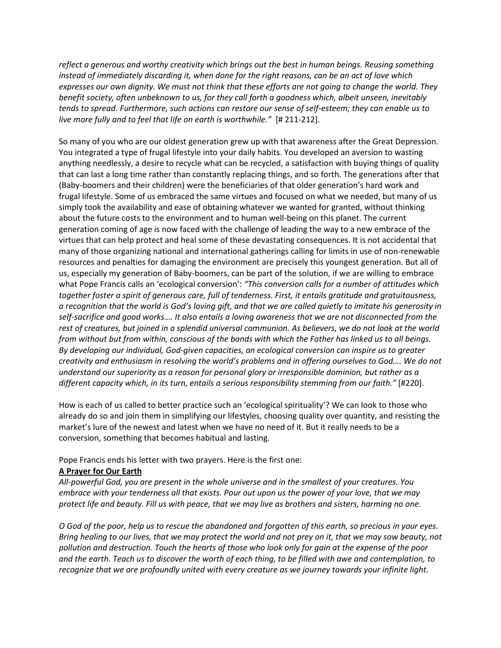*reflect a generous and worthy creativity which brings out the best in human beings. Reusing something instead of immediately discarding it, when done for the right reasons, can be an act of love which expresses our own dignity. We must not think that these efforts are not going to change the world. They benefit society, often unbeknown to us, for they call forth a goodness which, albeit unseen, inevitably tends to spread. Furthermore, such actions can restore our sense of self-esteem; they can enable us to live more fully and to feel that life on earth is worthwhile."* [# 211-212].

So many of you who are our oldest generation grew up with that awareness after the Great Depression. You integrated a type of frugal lifestyle into your daily habits. You developed an aversion to wasting anything needlessly, a desire to recycle what can be recycled, a satisfaction with buying things of quality that can last a long time rather than constantly replacing things, and so forth. The generations after that (Baby-boomers and their children) were the beneficiaries of that older generation's hard work and frugal lifestyle. Some of us embraced the same virtues and focused on what we needed, but many of us simply took the availability and ease of obtaining whatever we wanted for granted, without thinking about the future costs to the environment and to human well-being on this planet. The current generation coming of age is now faced with the challenge of leading the way to a new embrace of the virtues that can help protect and heal some of these devastating consequences. It is not accidental that many of those organizing national and international gatherings calling for limits in use of non-renewable resources and penalties for damaging the environment are precisely this youngest generation. But all of us, especially my generation of Baby-boomers, can be part of the solution, if we are willing to embrace what Pope Francis calls an 'ecological conversion': *"This conversion calls for a number of attitudes which together foster a spirit of generous care, full of tenderness. First, it entails gratitude and gratuitousness, a recognition that the world is God's loving gift, and that we are called quietly to imitate his generosity in self-sacrifice and good works…. It also entails a loving awareness that we are not disconnected from the rest of creatures, but joined in a splendid universal communion. As believers, we do not look at the world from without but from within, conscious of the bonds with which the Father has linked us to all beings. By developing our individual, God-given capacities, an ecological conversion can inspire us to greater creativity and enthusiasm in resolving the world's problems and in offering ourselves to God…. We do not understand our superiority as a reason for personal glory or irresponsible dominion, but rather as a different capacity which, in its turn, entails a serious responsibility stemming from our faith."* [#220].

How is each of us called to better practice such an 'ecological spirituality'? We can look to those who already do so and join them in simplifying our lifestyles, choosing quality over quantity, and resisting the market's lure of the newest and latest when we have no need of it. But it really needs to be a conversion, something that becomes habitual and lasting.

# Pope Francis ends his letter with two prayers. Here is the first one:

# **A Prayer for Our Earth**

*All-powerful God, you are present in the whole universe and in the smallest of your creatures. You embrace with your tenderness all that exists. Pour out upon us the power of your love, that we may protect life and beauty. Fill us with peace, that we may live as brothers and sisters, harming no one.*

*O God of the poor, help us to rescue the abandoned and forgotten of this earth, so precious in your eyes. Bring healing to our lives, that we may protect the world and not prey on it, that we may sow beauty, not pollution and destruction. Touch the hearts of those who look only for gain at the expense of the poor and the earth. Teach us to discover the worth of each thing, to be filled with awe and contemplation, to recognize that we are profoundly united with every creature as we journey towards your infinite light.*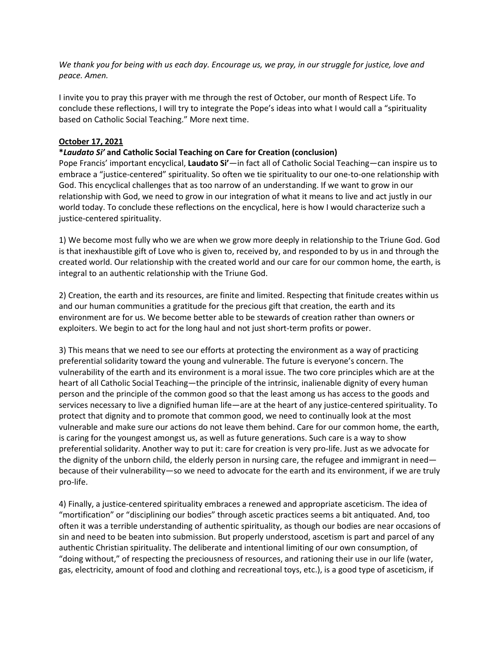*We thank you for being with us each day. Encourage us, we pray, in our struggle for justice, love and peace. Amen.*

I invite you to pray this prayer with me through the rest of October, our month of Respect Life. To conclude these reflections, I will try to integrate the Pope's ideas into what I would call a "spirituality based on Catholic Social Teaching." More next time.

# **October 17, 2021**

# **\****Laudato Si'* **and Catholic Social Teaching on Care for Creation (conclusion)**

Pope Francis' important encyclical, **Laudato Si'**—in fact all of Catholic Social Teaching—can inspire us to embrace a "justice-centered" spirituality. So often we tie spirituality to our one-to-one relationship with God. This encyclical challenges that as too narrow of an understanding. If we want to grow in our relationship with God, we need to grow in our integration of what it means to live and act justly in our world today. To conclude these reflections on the encyclical, here is how I would characterize such a justice-centered spirituality.

1) We become most fully who we are when we grow more deeply in relationship to the Triune God. God is that inexhaustible gift of Love who is given to, received by, and responded to by us in and through the created world. Our relationship with the created world and our care for our common home, the earth, is integral to an authentic relationship with the Triune God.

2) Creation, the earth and its resources, are finite and limited. Respecting that finitude creates within us and our human communities a gratitude for the precious gift that creation, the earth and its environment are for us. We become better able to be stewards of creation rather than owners or exploiters. We begin to act for the long haul and not just short-term profits or power.

3) This means that we need to see our efforts at protecting the environment as a way of practicing preferential solidarity toward the young and vulnerable. The future is everyone's concern. The vulnerability of the earth and its environment is a moral issue. The two core principles which are at the heart of all Catholic Social Teaching—the principle of the intrinsic, inalienable dignity of every human person and the principle of the common good so that the least among us has access to the goods and services necessary to live a dignified human life—are at the heart of any justice-centered spirituality. To protect that dignity and to promote that common good, we need to continually look at the most vulnerable and make sure our actions do not leave them behind. Care for our common home, the earth, is caring for the youngest amongst us, as well as future generations. Such care is a way to show preferential solidarity. Another way to put it: care for creation is very pro-life. Just as we advocate for the dignity of the unborn child, the elderly person in nursing care, the refugee and immigrant in need because of their vulnerability—so we need to advocate for the earth and its environment, if we are truly pro-life.

4) Finally, a justice-centered spirituality embraces a renewed and appropriate asceticism. The idea of "mortification" or "disciplining our bodies" through ascetic practices seems a bit antiquated. And, too often it was a terrible understanding of authentic spirituality, as though our bodies are near occasions of sin and need to be beaten into submission. But properly understood, ascetism is part and parcel of any authentic Christian spirituality. The deliberate and intentional limiting of our own consumption, of "doing without," of respecting the preciousness of resources, and rationing their use in our life (water, gas, electricity, amount of food and clothing and recreational toys, etc.), is a good type of asceticism, if